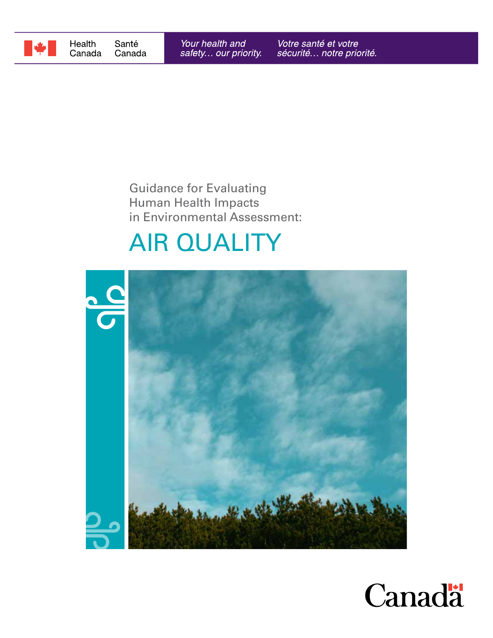

## Guidance for Evaluating Human Health Impacts in Environmental Assessment:

# AIR QUALITY



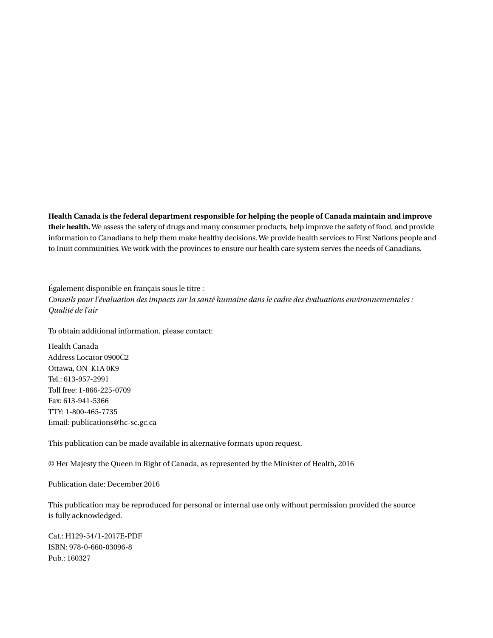**Health Canada is the federal department responsible for helping the people of Canada maintain and improve their health.** We assess the safety of drugs and many consumer products, help improve the safety of food, and provide information to Canadians to help them make healthy decisions. We provide health services to First Nations people and to Inuit communities. We work with the provinces to ensure our health care system serves the needs of Canadians.

Également disponible en français sous le titre : *Conseils pour l'évaluation des impacts sur la santé humaine dans le cadre des évaluations environnementales : Qualité de l'air*

To obtain additional information, please contact:

Health Canada Address Locator 0900C2 Ottawa, ON K1A 0K9 Tel.: 613-957-2991 Toll free: 1-866-225-0709 Fax: 613-941-5366 TTY: 1-800-465-7735 Email: publications@hc-sc.gc.ca

This publication can be made available in alternative formats upon request.

© Her Majesty the Queen in Right of Canada, as represented by the Minister of Health, 2016

Publication date: December 2016

This publication may be reproduced for personal or internal use only without permission provided the source is fully acknowledged.

Cat.: H129-54/1-2017E-PDF ISBN: 978-0-660-03096-8 Pub.: 160327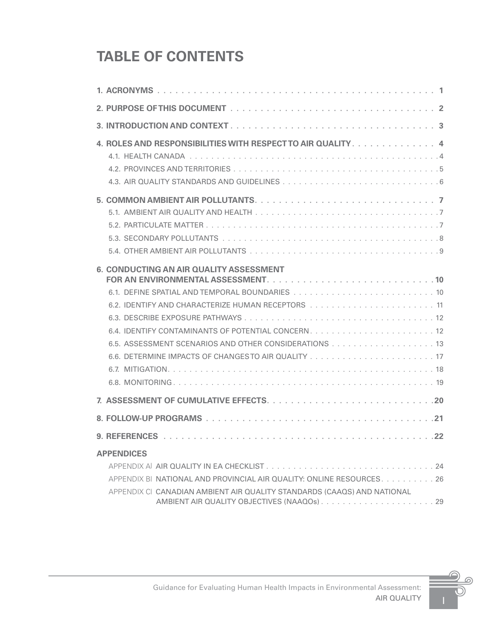# **TABLE OF CONTENTS**

| 4. ROLES AND RESPONSIBILITIES WITH RESPECT TO AIR QUALITY 4             |
|-------------------------------------------------------------------------|
|                                                                         |
| 4.2. PROVINCES AND TERRITORIES                                          |
|                                                                         |
|                                                                         |
|                                                                         |
|                                                                         |
|                                                                         |
|                                                                         |
| 6. CONDUCTING AN AIR QUALITY ASSESSMENT                                 |
|                                                                         |
|                                                                         |
|                                                                         |
|                                                                         |
|                                                                         |
|                                                                         |
|                                                                         |
|                                                                         |
|                                                                         |
|                                                                         |
|                                                                         |
|                                                                         |
| <b>APPENDICES</b>                                                       |
|                                                                         |
| APPENDIX BI NATIONAL AND PROVINCIAL AIR QUALITY: ONLINE RESOURCES. 26   |
| APPENDIX CL CANADIAN AMBIENT AIR QUALITY STANDARDS (CAAQS) AND NATIONAL |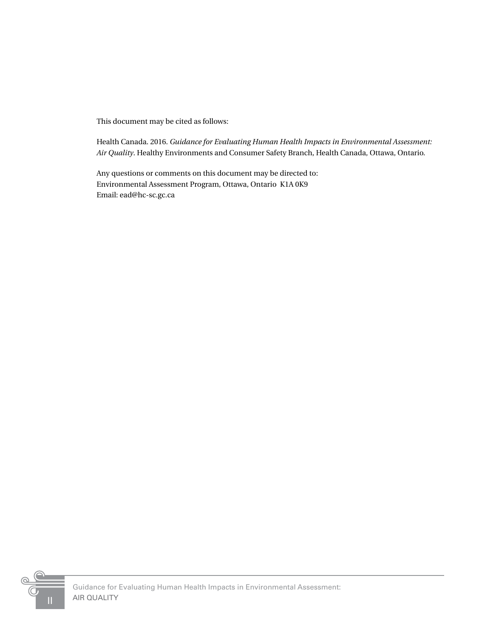This document may be cited as follows:

Health Canada. 2016. *Guidance for Evaluating Human Health Impacts in Environmental Assessment: Air Quality*. Healthy Environments and Consumer Safety Branch, Health Canada, Ottawa, Ontario.

Any questions or comments on this document may be directed to: Environmental Assessment Program, Ottawa, Ontario K1A 0K9 Email: ead@hc-sc.gc.ca

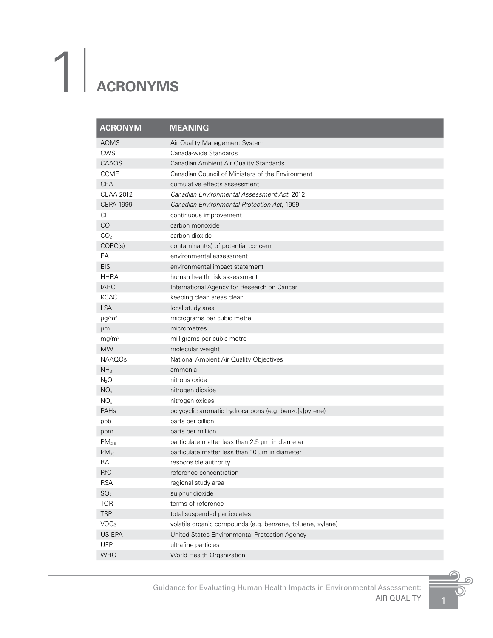# <span id="page-4-0"></span>1| **ACRONYMS**

| <b>ACRONYM</b>         | <b>MEANING</b>                                             |
|------------------------|------------------------------------------------------------|
| <b>AQMS</b>            | Air Quality Management System                              |
| <b>CWS</b>             | Canada-wide Standards                                      |
| CAAQS                  | Canadian Ambient Air Quality Standards                     |
| <b>CCME</b>            | Canadian Council of Ministers of the Environment           |
| <b>CEA</b>             | cumulative effects assessment                              |
| <b>CEAA 2012</b>       | Canadian Environmental Assessment Act, 2012                |
| <b>CEPA 1999</b>       | Canadian Environmental Protection Act, 1999                |
| СI                     | continuous improvement                                     |
| CO                     | carbon monoxide                                            |
| CO <sub>2</sub>        | carbon dioxide                                             |
| COPC(s)                | contaminant(s) of potential concern                        |
| EA                     | environmental assessment                                   |
| EIS                    | environmental impact statement                             |
| <b>HHRA</b>            | human health risk sssessment                               |
| <b>IARC</b>            | International Agency for Research on Cancer                |
| <b>KCAC</b>            | keeping clean areas clean                                  |
| <b>LSA</b>             | local study area                                           |
| $\mu$ g/m <sup>3</sup> | micrograms per cubic metre                                 |
| μm                     | micrometres                                                |
| mg/m <sup>3</sup>      | milligrams per cubic metre                                 |
| <b>MW</b>              | molecular weight                                           |
| NAAQOs                 | National Ambient Air Quality Objectives                    |
| NH <sub>3</sub>        | ammonia                                                    |
| $N_2O$                 | nitrous oxide                                              |
| NO <sub>2</sub>        | nitrogen dioxide                                           |
| NO <sub>x</sub>        | nitrogen oxides                                            |
| PAHs                   | polycyclic aromatic hydrocarbons (e.g. benzo[a]pyrene)     |
| ppb                    | parts per billion                                          |
| ppm                    | parts per million                                          |
| PM <sub>2.5</sub>      | particulate matter less than 2.5 µm in diameter            |
| $PM_{10}$              | particulate matter less than 10 µm in diameter             |
| RA                     | responsible authority                                      |
| <b>RfC</b>             | reference concentration                                    |
| <b>RSA</b>             | regional study area                                        |
| SO <sub>2</sub>        | sulphur dioxide                                            |
| <b>TOR</b>             | terms of reference                                         |
| <b>TSP</b>             | total suspended particulates                               |
| VOCs                   | volatile organic compounds (e.g. benzene, toluene, xylene) |
| US EPA                 | United States Environmental Protection Agency              |
| UFP                    | ultrafine particles                                        |
| <b>WHO</b>             | World Health Organization                                  |

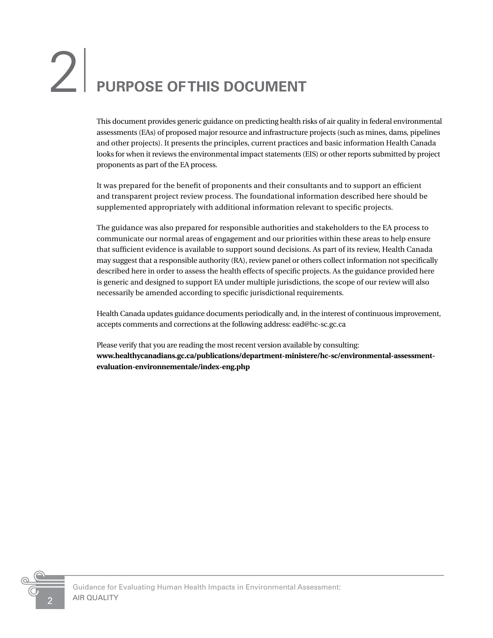# <span id="page-5-0"></span>2<sup>|</sup> **PURPOSE OF THIS DOCUMENT**

This document provides generic guidance on predicting health risks of air quality in federal environmental assessments (EAs) of proposed major resource and infrastructure projects (such as mines, dams, pipelines and other projects). It presents the principles, current practices and basic information Health Canada looks for when it reviews the environmental impact statements (EIS) or other reports submitted by project proponents as part of the EA process.

It was prepared for the benefit of proponents and their consultants and to support an efficient and transparent project review process. The foundational information described here should be supplemented appropriately with additional information relevant to specific projects.

The guidance was also prepared for responsible authorities and stakeholders to the EA process to communicate our normal areas of engagement and our priorities within these areas to help ensure that sufficient evidence is available to support sound decisions. As part of its review, Health Canada may suggest that a responsible authority (RA), review panel or others collect information not specifically described here in order to assess the health effects of specific projects. As the guidance provided here is generic and designed to support EA under multiple jurisdictions, the scope of our review will also necessarily be amended according to specific jurisdictional requirements.

Health Canada updates guidance documents periodically and, in the interest of continuous improvement, accepts comments and corrections at the following address: ead@hc-sc.gc.ca

Please verify that you are reading the most recent version available by consulting: **www.healthycanadians.gc.ca/publications/department-ministere/hc-sc/environmental-assessmentevaluation-environnementale/index-eng.php**

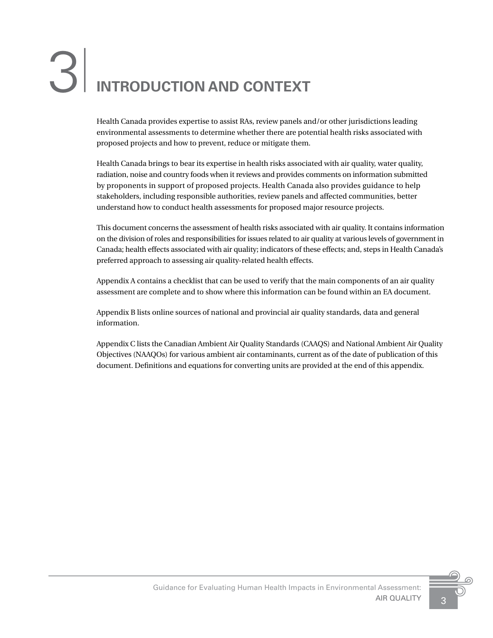# <span id="page-6-0"></span>3<sup>|</sup> **INTRODUCTION AND CONTEXT**

Health Canada provides expertise to assist RAs, review panels and/or other jurisdictions leading environmental assessments to determine whether there are potential health risks associated with proposed projects and how to prevent, reduce or mitigate them.

Health Canada brings to bear its expertise in health risks associated with air quality, water quality, radiation, noise and country foods when it reviews and provides comments on information submitted by proponents in support of proposed projects. Health Canada also provides guidance to help stakeholders, including responsible authorities, review panels and affected communities, better understand how to conduct health assessments for proposed major resource projects.

This document concerns the assessment of health risks associated with air quality. It contains information on the division of roles and responsibilities for issues related to air quality at various levels of government in Canada; health effects associated with air quality; indicators of these effects; and, steps in Health Canada's preferred approach to assessing air quality-related health effects.

Appendix A contains a checklist that can be used to verify that the main components of an air quality assessment are complete and to show where this information can be found within an EA document.

Appendix B lists online sources of national and provincial air quality standards, data and general information.

Appendix C lists the Canadian Ambient Air Quality Standards (CAAQS) and National Ambient Air Quality Objectives (NAAQOs) for various ambient air contaminants, current as of the date of publication of this document. Definitions and equations for converting units are provided at the end of this appendix.

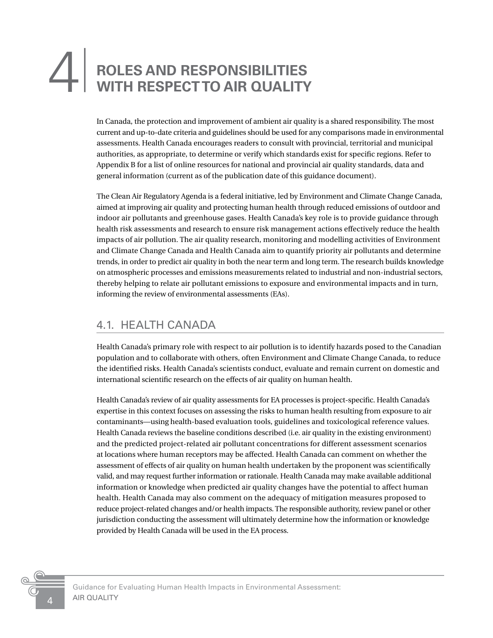# <span id="page-7-0"></span>**ROLES AND RESPONSIBILITIES<br>WITH RESPECT TO AIR QUALITY**

In Canada, the protection and improvement of ambient air quality is a shared responsibility. The most current and up-to-date criteria and guidelines should be used for any comparisons made in environmental assessments. Health Canada encourages readers to consult with provincial, territorial and municipal authorities, as appropriate, to determine or verify which standards exist for specific regions. Refer to Appendix B for a list of online resources for national and provincial air quality standards, data and general information (current as of the publication date of this guidance document).

The Clean Air Regulatory Agenda is a federal initiative, led by Environment and Climate Change Canada, aimed at improving air quality and protecting human health through reduced emissions of outdoor and indoor air pollutants and greenhouse gases. Health Canada's key role is to provide guidance through health risk assessments and research to ensure risk management actions effectively reduce the health impacts of air pollution. The air quality research, monitoring and modelling activities of Environment and Climate Change Canada and Health Canada aim to quantify priority air pollutants and determine trends, in order to predict air quality in both the near term and long term. The research builds knowledge on atmospheric processes and emissions measurements related to industrial and non-industrial sectors, thereby helping to relate air pollutant emissions to exposure and environmental impacts and in turn, informing the review of environmental assessments (EAs).

### 4.1. HEALTH CANADA

Health Canada's primary role with respect to air pollution is to identify hazards posed to the Canadian population and to collaborate with others, often Environment and Climate Change Canada, to reduce the identified risks. Health Canada's scientists conduct, evaluate and remain current on domestic and international scientific research on the effects of air quality on human health.

Health Canada's review of air quality assessments for EA processes is project-specific. Health Canada's expertise in this context focuses on assessing the risks to human health resulting from exposure to air contaminants—using health-based evaluation tools, guidelines and toxicological reference values. Health Canada reviews the baseline conditions described (i.e. air quality in the existing environment) and the predicted project-related air pollutant concentrations for different assessment scenarios at locations where human receptors may be affected. Health Canada can comment on whether the assessment of effects of air quality on human health undertaken by the proponent was scientifically valid, and may request further information or rationale. Health Canada may make available additional information or knowledge when predicted air quality changes have the potential to affect human health. Health Canada may also comment on the adequacy of mitigation measures proposed to reduce project-related changes and/or health impacts. The responsible authority, review panel or other jurisdiction conducting the assessment will ultimately determine how the information or knowledge provided by Health Canada will be used in the EA process.

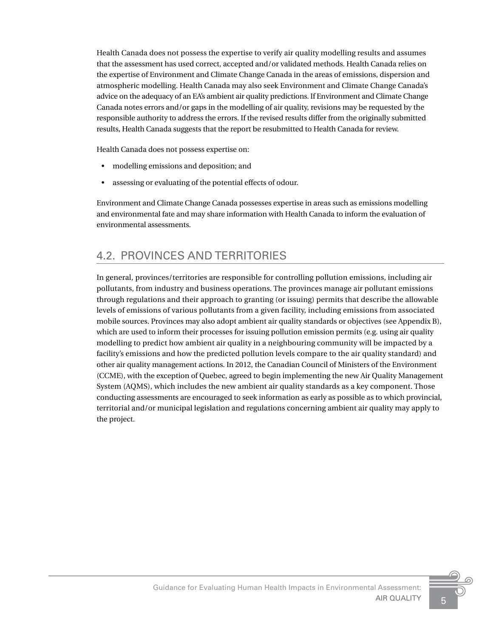<span id="page-8-0"></span>Health Canada does not possess the expertise to verify air quality modelling results and assumes that the assessment has used correct, accepted and/or validated methods. Health Canada relies on the expertise of Environment and Climate Change Canada in the areas of emissions, dispersion and atmospheric modelling. Health Canada may also seek Environment and Climate Change Canada's advice on the adequacy of an EA's ambient air quality predictions. If Environment and Climate Change Canada notes errors and/or gaps in the modelling of air quality, revisions may be requested by the responsible authority to address the errors. If the revised results differ from the originally submitted results, Health Canada suggests that the report be resubmitted to Health Canada for review.

Health Canada does not possess expertise on:

- modelling emissions and deposition; and
- assessing or evaluating of the potential effects of odour.

Environment and Climate Change Canada possesses expertise in areas such as emissions modelling and environmental fate and may share information with Health Canada to inform the evaluation of environmental assessments.

### 4.2. PROVINCES AND TERRITORIES

In general, provinces/territories are responsible for controlling pollution emissions, including air pollutants, from industry and business operations. The provinces manage air pollutant emissions through regulations and their approach to granting (or issuing) permits that describe the allowable levels of emissions of various pollutants from a given facility, including emissions from associated mobile sources. Provinces may also adopt ambient air quality standards or objectives (see Appendix B), which are used to inform their processes for issuing pollution emission permits (e.g. using air quality modelling to predict how ambient air quality in a neighbouring community will be impacted by a facility's emissions and how the predicted pollution levels compare to the air quality standard) and other air quality management actions. In 2012, the Canadian Council of Ministers of the Environment (CCME), with the exception of Quebec, agreed to begin implementing the new Air Quality Management System (AQMS), which includes the new ambient air quality standards as a key component. Those conducting assessments are encouraged to seek information as early as possible as to which provincial, territorial and/or municipal legislation and regulations concerning ambient air quality may apply to the project.

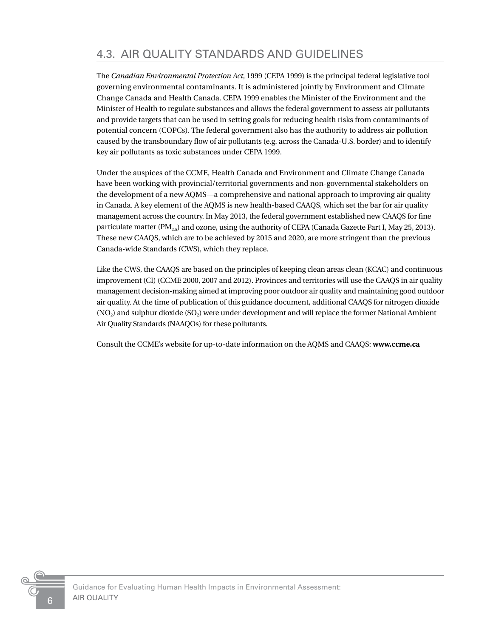<span id="page-9-0"></span>The *Canadian Environmental Protection Act*, 1999 (CEPA 1999) is the principal federal legislative tool governing environmental contaminants. It is administered jointly by Environment and Climate Change Canada and Health Canada. CEPA 1999 enables the Minister of the Environment and the Minister of Health to regulate substances and allows the federal government to assess air pollutants and provide targets that can be used in setting goals for reducing health risks from contaminants of potential concern (COPCs). The federal government also has the authority to address air pollution caused by the transboundary flow of air pollutants (e.g. across the Canada-U.S. border) and to identify key air pollutants as toxic substances under CEPA 1999.

Under the auspices of the CCME, Health Canada and Environment and Climate Change Canada have been working with provincial/territorial governments and non-governmental stakeholders on the development of a new AQMS—a comprehensive and national approach to improving air quality in Canada. A key element of the AQMS is new health-based CAAQS, which set the bar for air quality management across the country. In May 2013, the federal government established new CAAQS for fine particulate matter (PM<sub>2.5</sub>) and ozone, using the authority of CEPA (Canada Gazette Part I, May 25, 2013). These new CAAQS, which are to be achieved by 2015 and 2020, are more stringent than the previous Canada-wide Standards (CWS), which they replace.

Like the CWS, the CAAQS are based on the principles of keeping clean areas clean (KCAC) and continuous improvement (CI) (CCME 2000, 2007 and 2012). Provinces and territories will use the CAAQS in air quality management decision-making aimed at improving poor outdoor air quality and maintaining good outdoor air quality. At the time of publication of this guidance document, additional CAAQS for nitrogen dioxide (NO<sub>2</sub>) and sulphur dioxide (SO<sub>2</sub>) were under development and will replace the former National Ambient Air Quality Standards (NAAQOs) for these pollutants.

Consult the CCME's website for up-to-date information on the AQMS and CAAQS: **www.ccme.ca**

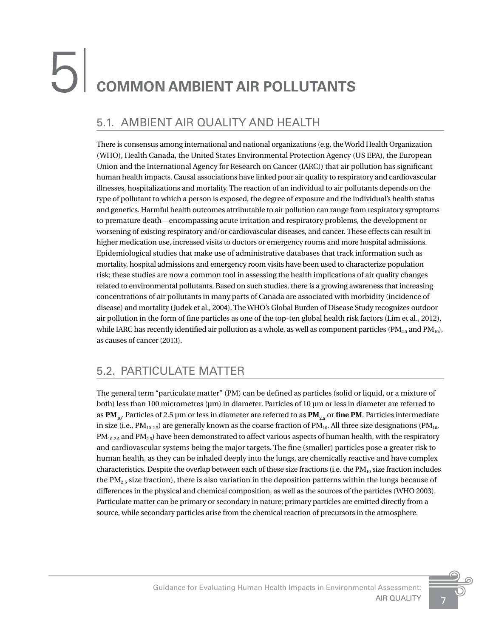# <span id="page-10-0"></span>5<sup>|</sup> **COMMON AMBIENT AIR POLLUTANTS**

# 5.1. AMBIENT AIR QUALITY AND HEALTH

There is consensus among international and national organizations (e.g. the World Health Organization (WHO), Health Canada, the United States Environmental Protection Agency (US EPA), the European Union and the International Agency for Research on Cancer (IARC)) that air pollution has significant human health impacts. Causal associations have linked poor air quality to respiratory and cardiovascular illnesses, hospitalizations and mortality. The reaction of an individual to air pollutants depends on the type of pollutant to which a person is exposed, the degree of exposure and the individual's health status and genetics. Harmful health outcomes attributable to air pollution can range from respiratory symptoms to premature death—encompassing acute irritation and respiratory problems, the development or worsening of existing respiratory and/or cardiovascular diseases, and cancer. These effects can result in higher medication use, increased visits to doctors or emergency rooms and more hospital admissions. Epidemiological studies that make use of administrative databases that track information such as mortality, hospital admissions and emergency room visits have been used to characterize population risk; these studies are now a common tool in assessing the health implications of air quality changes related to environmental pollutants. Based on such studies, there is a growing awareness that increasing concentrations of air pollutants in many parts of Canada are associated with morbidity (incidence of disease) and mortality (Judek et al., 2004). The WHO's Global Burden of Disease Study recognizes outdoor air pollution in the form of fine particles as one of the top-ten global health risk factors (Lim et al., 2012), while IARC has recently identified air pollution as a whole, as well as component particles ( $PM_{2.5}$  and  $PM_{10}$ ), as causes of cancer (2013).

## 5.2. PARTICULATE MATTER

The general term "particulate matter" (PM) can be defined as particles (solid or liquid, or a mixture of both) less than 100 micrometres (µm) in diameter. Particles of 10 µm or less in diameter are referred to as PM<sub>10</sub>. Particles of 2.5 µm or less in diameter are referred to as PM<sub>2.5</sub> or fine PM. Particles intermediate in size (i.e.,  $PM_{10-2.5}$ ) are generally known as the coarse fraction of  $PM_{10}$ . All three size designations ( $PM_{10}$ ,  $PM_{10-2.5}$  and PM<sub>2.5</sub>) have been demonstrated to affect various aspects of human health, with the respiratory and cardiovascular systems being the major targets. The fine (smaller) particles pose a greater risk to human health, as they can be inhaled deeply into the lungs, are chemically reactive and have complex characteristics. Despite the overlap between each of these size fractions (i.e. the  $PM_{10}$  size fraction includes the PM<sub>2.5</sub> size fraction), there is also variation in the deposition patterns within the lungs because of differences in the physical and chemical composition, as well as the sources of the particles (WHO 2003). Particulate matter can be primary or secondary in nature; primary particles are emitted directly from a source, while secondary particles arise from the chemical reaction of precursors in the atmosphere.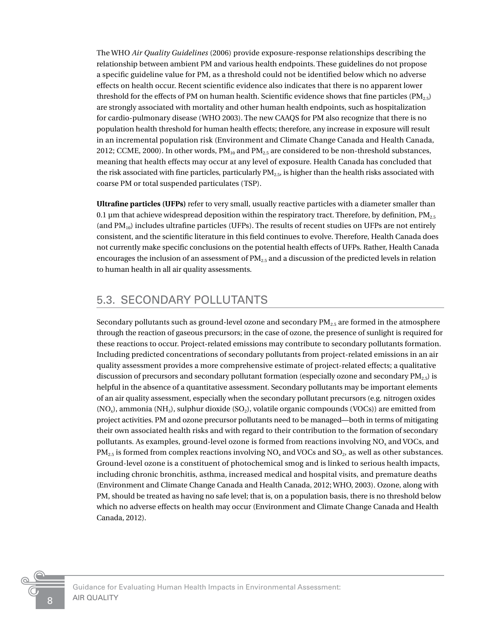<span id="page-11-0"></span>The WHO *Air Quality Guidelines* (2006) provide exposure-response relationships describing the relationship between ambient PM and various health endpoints. These guidelines do not propose a specific guideline value for PM, as a threshold could not be identified below which no adverse effects on health occur. Recent scientific evidence also indicates that there is no apparent lower threshold for the effects of PM on human health. Scientific evidence shows that fine particles ( $PM_2$ . are strongly associated with mortality and other human health endpoints, such as hospitalization for cardio-pulmonary disease (WHO 2003). The new CAAQS for PM also recognize that there is no population health threshold for human health effects; therefore, any increase in exposure will result in an incremental population risk (Environment and Climate Change Canada and Health Canada, 2012; CCME, 2000). In other words,  $PM_{10}$  and  $PM_{2.5}$  are considered to be non-threshold substances, meaning that health effects may occur at any level of exposure. Health Canada has concluded that the risk associated with fine particles, particularly  $PM_{2.5}$ , is higher than the health risks associated with coarse PM or total suspended particulates (TSP).

**Ultrafine particles (UFPs)** refer to very small, usually reactive particles with a diameter smaller than 0.1 µm that achieve widespread deposition within the respiratory tract. Therefore, by definition,  $PM_{2.5}$ (and  $PM_{10}$ ) includes ultrafine particles (UFPs). The results of recent studies on UFPs are not entirely consistent, and the scientific literature in this field continues to evolve. Therefore, Health Canada does not currently make specific conclusions on the potential health effects of UFPs. Rather, Health Canada encourages the inclusion of an assessment of  $PM_{2.5}$  and a discussion of the predicted levels in relation to human health in all air quality assessments.

### 5.3. SECONDARY POLLUTANTS

Secondary pollutants such as ground-level ozone and secondary  $PM_{2.5}$  are formed in the atmosphere through the reaction of gaseous precursors; in the case of ozone, the presence of sunlight is required for these reactions to occur. Project-related emissions may contribute to secondary pollutants formation. Including predicted concentrations of secondary pollutants from project-related emissions in an air quality assessment provides a more comprehensive estimate of project-related effects; a qualitative discussion of precursors and secondary pollutant formation (especially ozone and secondary  $PM_{25}$ ) is helpful in the absence of a quantitative assessment. Secondary pollutants may be important elements of an air quality assessment, especially when the secondary pollutant precursors (e.g. nitrogen oxides  $(NO_x)$ , ammonia  $(NH_3)$ , sulphur dioxide  $(SO_2)$ , volatile organic compounds  $(VOCs)$ ) are emitted from project activities. PM and ozone precursor pollutants need to be managed—both in terms of mitigating their own associated health risks and with regard to their contribution to the formation of secondary pollutants. As examples, ground-level ozone is formed from reactions involving NO<sub>x</sub> and VOCs, and  $PM_{2.5}$  is formed from complex reactions involving NO<sub>x</sub> and VOCs and SO<sub>2</sub>, as well as other substances. Ground-level ozone is a constituent of photochemical smog and is linked to serious health impacts, including chronic bronchitis, asthma, increased medical and hospital visits, and premature deaths (Environment and Climate Change Canada and Health Canada, 2012; WHO, 2003). Ozone, along with PM, should be treated as having no safe level; that is, on a population basis, there is no threshold below which no adverse effects on health may occur (Environment and Climate Change Canada and Health Canada, 2012).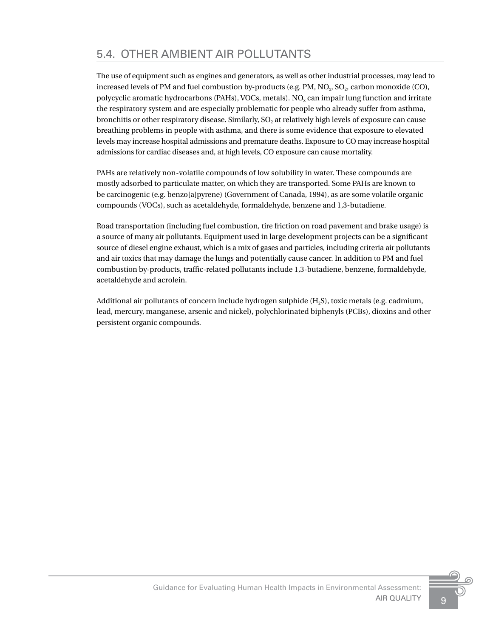<span id="page-12-0"></span>The use of equipment such as engines and generators, as well as other industrial processes, may lead to increased levels of PM and fuel combustion by-products (e.g. PM,  $NO<sub>v</sub>$ ,  $SO<sub>v</sub>$ , carbon monoxide (CO), polycyclic aromatic hydrocarbons (PAHs), VOCs, metals). NO<sub>x</sub> can impair lung function and irritate the respiratory system and are especially problematic for people who already suffer from asthma, bronchitis or other respiratory disease. Similarly, SO<sub>2</sub> at relatively high levels of exposure can cause breathing problems in people with asthma, and there is some evidence that exposure to elevated levels may increase hospital admissions and premature deaths. Exposure to CO may increase hospital admissions for cardiac diseases and, at high levels, CO exposure can cause mortality.

PAHs are relatively non-volatile compounds of low solubility in water. These compounds are mostly adsorbed to particulate matter, on which they are transported. Some PAHs are known to be carcinogenic (e.g. benzo[a]pyrene) (Government of Canada, 1994), as are some volatile organic compounds (VOCs), such as acetaldehyde, formaldehyde, benzene and 1,3-butadiene.

Road transportation (including fuel combustion, tire friction on road pavement and brake usage) is a source of many air pollutants. Equipment used in large development projects can be a significant source of diesel engine exhaust, which is a mix of gases and particles, including criteria air pollutants and air toxics that may damage the lungs and potentially cause cancer. In addition to PM and fuel combustion by-products, traffic-related pollutants include 1,3-butadiene, benzene, formaldehyde, acetaldehyde and acrolein.

Additional air pollutants of concern include hydrogen sulphide (H2S), toxic metals (e.g. cadmium, lead, mercury, manganese, arsenic and nickel), polychlorinated biphenyls (PCBs), dioxins and other persistent organic compounds.

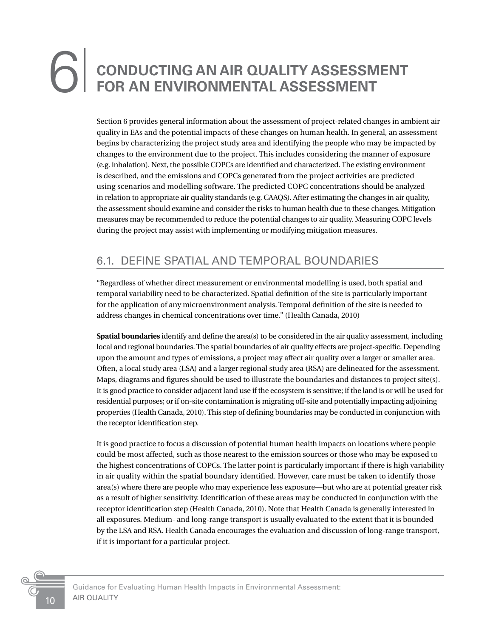# <span id="page-13-0"></span>**CONDUCTING AN AIR QUALITY ASSESSMENT**<br>FOR AN ENVIRONMENTAL ASSESSMENT

Section 6 provides general information about the assessment of project-related changes in ambient air quality in EAs and the potential impacts of these changes on human health. In general, an assessment begins by characterizing the project study area and identifying the people who may be impacted by changes to the environment due to the project. This includes considering the manner of exposure (e.g. inhalation). Next, the possible COPCs are identified and characterized. The existing environment is described, and the emissions and COPCs generated from the project activities are predicted using scenarios and modelling software. The predicted COPC concentrations should be analyzed in relation to appropriate air quality standards (e.g. CAAQS). After estimating the changes in air quality, the assessment should examine and consider the risks to human health due to these changes. Mitigation measures may be recommended to reduce the potential changes to air quality. Measuring COPC levels during the project may assist with implementing or modifying mitigation measures.

## 6.1. DEFINE SPATIAL AND TEMPORAL BOUNDARIES

"Regardless of whether direct measurement or environmental modelling is used, both spatial and temporal variability need to be characterized. Spatial definition of the site is particularly important for the application of any microenvironment analysis. Temporal definition of the site is needed to address changes in chemical concentrations over time." (Health Canada, 2010)

**Spatial boundaries** identify and define the area(s) to be considered in the air quality assessment, including local and regional boundaries. The spatial boundaries of air quality effects are project-specific. Depending upon the amount and types of emissions, a project may affect air quality over a larger or smaller area. Often, a local study area (LSA) and a larger regional study area (RSA) are delineated for the assessment. Maps, diagrams and figures should be used to illustrate the boundaries and distances to project site(s). It is good practice to consider adjacent land use if the ecosystem is sensitive; if the land is or will be used for residential purposes; or if on-site contamination is migrating off-site and potentially impacting adjoining properties (Health Canada, 2010). This step of defining boundaries may be conducted in conjunction with the receptor identification step.

It is good practice to focus a discussion of potential human health impacts on locations where people could be most affected, such as those nearest to the emission sources or those who may be exposed to the highest concentrations of COPCs. The latter point is particularly important if there is high variability in air quality within the spatial boundary identified. However, care must be taken to identify those area(s) where there are people who may experience less exposure—but who are at potential greater risk as a result of higher sensitivity. Identification of these areas may be conducted in conjunction with the receptor identification step (Health Canada, 2010). Note that Health Canada is generally interested in all exposures. Medium- and long-range transport is usually evaluated to the extent that it is bounded by the LSA and RSA. Health Canada encourages the evaluation and discussion of long-range transport, if it is important for a particular project.

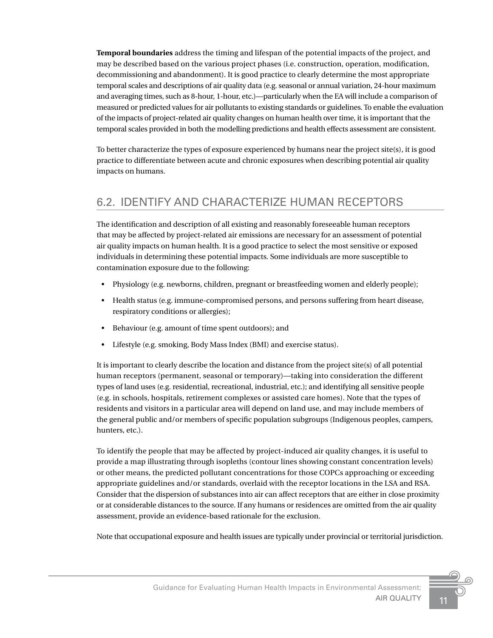<span id="page-14-0"></span>**Temporal boundaries** address the timing and lifespan of the potential impacts of the project, and may be described based on the various project phases (i.e. construction, operation, modification, decommissioning and abandonment). It is good practice to clearly determine the most appropriate temporal scales and descriptions of air quality data (e.g. seasonal or annual variation, 24-hour maximum and averaging times, such as 8-hour, 1-hour, etc.)—particularly when the EA will include a comparison of measured or predicted values for air pollutants to existing standards or guidelines. To enable the evaluation of the impacts of project-related air quality changes on human health over time, it is important that the temporal scales provided in both the modelling predictions and health effects assessment are consistent.

To better characterize the types of exposure experienced by humans near the project site(s), it is good practice to differentiate between acute and chronic exposures when describing potential air quality impacts on humans.

## 6.2. IDENTIFY AND CHARACTERIZE HUMAN RECEPTORS

The identification and description of all existing and reasonably foreseeable human receptors that may be affected by project-related air emissions are necessary for an assessment of potential air quality impacts on human health. It is a good practice to select the most sensitive or exposed individuals in determining these potential impacts. Some individuals are more susceptible to contamination exposure due to the following:

- Physiology (e.g. newborns, children, pregnant or breastfeeding women and elderly people);
- Health status (e.g. immune-compromised persons, and persons suffering from heart disease, respiratory conditions or allergies);
- Behaviour (e.g. amount of time spent outdoors); and
- Lifestyle (e.g. smoking, Body Mass Index (BMI) and exercise status).

It is important to clearly describe the location and distance from the project site(s) of all potential human receptors (permanent, seasonal or temporary)—taking into consideration the different types of land uses (e.g. residential, recreational, industrial, etc.); and identifying all sensitive people (e.g. in schools, hospitals, retirement complexes or assisted care homes). Note that the types of residents and visitors in a particular area will depend on land use, and may include members of the general public and/or members of specific population subgroups (Indigenous peoples, campers, hunters, etc.).

To identify the people that may be affected by project-induced air quality changes, it is useful to provide a map illustrating through isopleths (contour lines showing constant concentration levels) or other means, the predicted pollutant concentrations for those COPCs approaching or exceeding appropriate guidelines and/or standards, overlaid with the receptor locations in the LSA and RSA. Consider that the dispersion of substances into air can affect receptors that are either in close proximity or at considerable distances to the source. If any humans or residences are omitted from the air quality assessment, provide an evidence-based rationale for the exclusion.

Note that occupational exposure and health issues are typically under provincial or territorial jurisdiction.

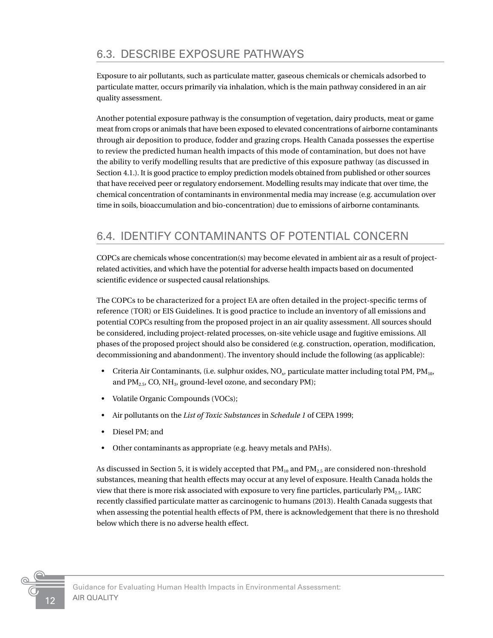# <span id="page-15-0"></span>6.3. DESCRIBE EXPOSURE PATHWAYS

Exposure to air pollutants, such as particulate matter, gaseous chemicals or chemicals adsorbed to particulate matter, occurs primarily via inhalation, which is the main pathway considered in an air quality assessment.

Another potential exposure pathway is the consumption of vegetation, dairy products, meat or game meat from crops or animals that have been exposed to elevated concentrations of airborne contaminants through air deposition to produce, fodder and grazing crops. Health Canada possesses the expertise to review the predicted human health impacts of this mode of contamination, but does not have the ability to verify modelling results that are predictive of this exposure pathway (as discussed in Section 4.1.). It is good practice to employ prediction models obtained from published or other sources that have received peer or regulatory endorsement. Modelling results may indicate that over time, the chemical concentration of contaminants in environmental media may increase (e.g. accumulation over time in soils, bioaccumulation and bio-concentration) due to emissions of airborne contaminants.

## 6.4. IDENTIFY CONTAMINANTS OF POTENTIAL CONCERN

COPCs are chemicals whose concentration(s) may become elevated in ambient air as a result of projectrelated activities, and which have the potential for adverse health impacts based on documented scientific evidence or suspected causal relationships.

The COPCs to be characterized for a project EA are often detailed in the project-specific terms of reference (TOR) or EIS Guidelines. It is good practice to include an inventory of all emissions and potential COPCs resulting from the proposed project in an air quality assessment. All sources should be considered, including project-related processes, on-site vehicle usage and fugitive emissions. All phases of the proposed project should also be considered (e.g. construction, operation, modification, decommissioning and abandonment). The inventory should include the following (as applicable):

- Criteria Air Contaminants, (i.e. sulphur oxides,  $NO_x$ , particulate matter including total PM,  $PM_{10}$ , and  $PM_{2.5}$ , CO, NH<sub>3</sub>, ground-level ozone, and secondary PM);
- Volatile Organic Compounds (VOCs);
- Air pollutants on the *List of Toxic Substances* in *Schedule 1* of CEPA 1999;
- Diesel PM; and
- Other contaminants as appropriate (e.g. heavy metals and PAHs).

As discussed in Section 5, it is widely accepted that  $PM_{10}$  and  $PM_{2.5}$  are considered non-threshold substances, meaning that health effects may occur at any level of exposure. Health Canada holds the view that there is more risk associated with exposure to very fine particles, particularly  $PM_{2.5}$ . IARC recently classified particulate matter as carcinogenic to humans (2013). Health Canada suggests that when assessing the potential health effects of PM, there is acknowledgement that there is no threshold below which there is no adverse health effect.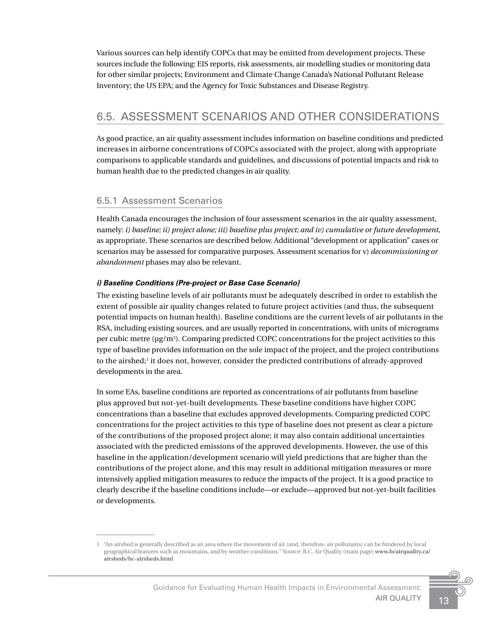<span id="page-16-0"></span>Various sources can help identify COPCs that may be emitted from development projects. These sources include the following: EIS reports, risk assessments, air modelling studies or monitoring data for other similar projects; Environment and Climate Change Canada's National Pollutant Release Inventory; the US EPA; and the Agency for Toxic Substances and Disease Registry.

### 6.5. ASSESSMENT SCENARIOS AND OTHER CONSIDERATIONS

As good practice, an air quality assessment includes information on baseline conditions and predicted increases in airborne concentrations of COPCs associated with the project, along with appropriate comparisons to applicable standards and guidelines, and discussions of potential impacts and risk to human health due to the predicted changes in air quality.

#### 6.5.1 Assessment Scenarios

Health Canada encourages the inclusion of four assessment scenarios in the air quality assessment, namely: *i) baseline; ii) project alone; iii) baseline plus project; and iv) cumulative or future development,* as appropriate. These scenarios are described below. Additional "development or application" cases or scenarios may be assessed for comparative purposes. Assessment scenarios for v) *decommissioning or abandonment* phases may also be relevant.

#### *i) Baseline Conditions (Pre-project or Base Case Scenario)*

The existing baseline levels of air pollutants must be adequately described in order to establish the extent of possible air quality changes related to future project activities (and thus, the subsequent potential impacts on human health). Baseline conditions are the current levels of air pollutants in the RSA, including existing sources, and are usually reported in concentrations, with units of micrograms per cubic metre (µg/m3 ). Comparing predicted COPC concentrations for the project activities to this type of baseline provides information on the sole impact of the project, and the project contributions to the airshed;<sup>1</sup> it does not, however, consider the predicted contributions of already-approved developments in the area.

In some EAs, baseline conditions are reported as concentrations of air pollutants from baseline plus approved but not-yet-built developments. These baseline conditions have higher COPC concentrations than a baseline that excludes approved developments. Comparing predicted COPC concentrations for the project activities to this type of baseline does not present as clear a picture of the contributions of the proposed project alone; it may also contain additional uncertainties associated with the predicted emissions of the approved developments. However, the use of this baseline in the application/development scenario will yield predictions that are higher than the contributions of the project alone, and this may result in additional mitigation measures or more intensively applied mitigation measures to reduce the impacts of the project. It is a good practice to clearly describe if the baseline conditions include—or exclude—approved but not-yet-built facilities or developments.

<sup>1</sup> "An airshed is generally described as an area where the movement of air (and, therefore, air pollutants) can be hindered by local geographical features such as mountains, and by weather conditions." Source: B.C. Air Quality (main page) **www.bcairquality.ca/ airsheds/bc-airsheds.html**

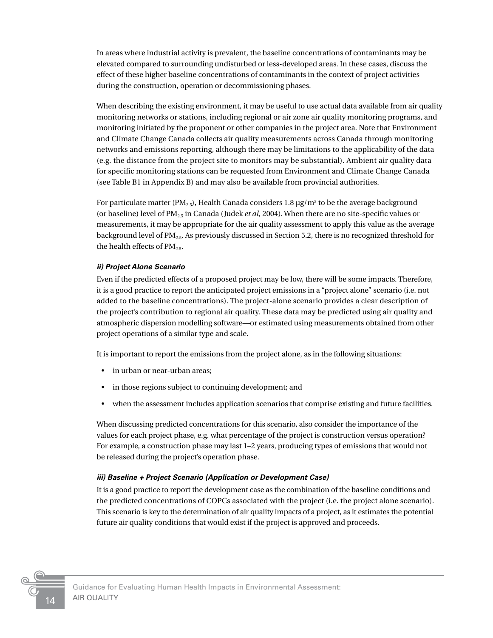In areas where industrial activity is prevalent, the baseline concentrations of contaminants may be elevated compared to surrounding undisturbed or less-developed areas. In these cases, discuss the effect of these higher baseline concentrations of contaminants in the context of project activities during the construction, operation or decommissioning phases.

When describing the existing environment, it may be useful to use actual data available from air quality monitoring networks or stations, including regional or air zone air quality monitoring programs, and monitoring initiated by the proponent or other companies in the project area. Note that Environment and Climate Change Canada collects air quality measurements across Canada through monitoring networks and emissions reporting, although there may be limitations to the applicability of the data (e.g. the distance from the project site to monitors may be substantial). Ambient air quality data for specific monitoring stations can be requested from Environment and Climate Change Canada (see Table B1 in Appendix B) and may also be available from provincial authorities.

For particulate matter (PM $_{2.5}$ ), Health Canada considers 1.8  $\mu$ g/m $^3$  to be the average background (or baseline) level of PM2.5 in Canada (Judek *et al*, 2004). When there are no site-specific values or measurements, it may be appropriate for the air quality assessment to apply this value as the average background level of  $PM_{2.5}$ . As previously discussed in Section 5.2, there is no recognized threshold for the health effects of  $PM_{2.5}$ .

#### *ii) Project Alone Scenario*

Even if the predicted effects of a proposed project may be low, there will be some impacts. Therefore, it is a good practice to report the anticipated project emissions in a "project alone" scenario (i.e. not added to the baseline concentrations). The project-alone scenario provides a clear description of the project's contribution to regional air quality. These data may be predicted using air quality and atmospheric dispersion modelling software—or estimated using measurements obtained from other project operations of a similar type and scale.

It is important to report the emissions from the project alone, as in the following situations:

- in urban or near-urban areas:
- in those regions subject to continuing development; and
- when the assessment includes application scenarios that comprise existing and future facilities.

When discussing predicted concentrations for this scenario, also consider the importance of the values for each project phase, e.g. what percentage of the project is construction versus operation? For example, a construction phase may last 1–2 years, producing types of emissions that would not be released during the project's operation phase.

#### *iii) Baseline + Project Scenario (Application or Development Case)*

It is a good practice to report the development case as the combination of the baseline conditions and the predicted concentrations of COPCs associated with the project (i.e. the project alone scenario). This scenario is key to the determination of air quality impacts of a project, as it estimates the potential future air quality conditions that would exist if the project is approved and proceeds.

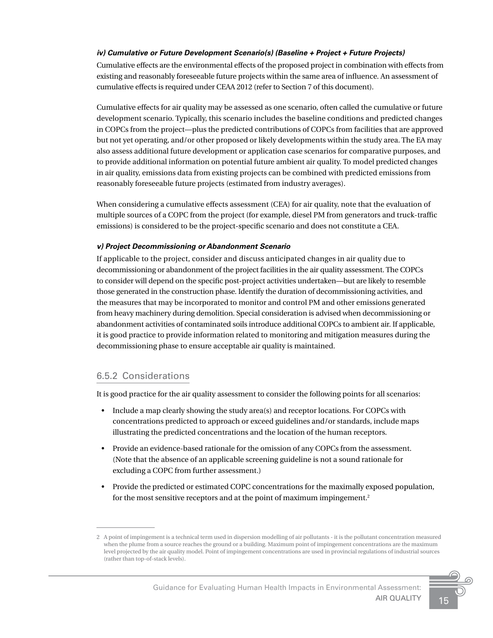#### *iv) Cumulative or Future Development Scenario(s) (Baseline + Project + Future Projects)*

Cumulative effects are the environmental effects of the proposed project in combination with effects from existing and reasonably foreseeable future projects within the same area of influence. An assessment of cumulative effects is required under CEAA 2012 (refer to Section 7 of this document).

Cumulative effects for air quality may be assessed as one scenario, often called the cumulative or future development scenario. Typically, this scenario includes the baseline conditions and predicted changes in COPCs from the project—plus the predicted contributions of COPCs from facilities that are approved but not yet operating, and/or other proposed or likely developments within the study area. The EA may also assess additional future development or application case scenarios for comparative purposes, and to provide additional information on potential future ambient air quality. To model predicted changes in air quality, emissions data from existing projects can be combined with predicted emissions from reasonably foreseeable future projects (estimated from industry averages).

When considering a cumulative effects assessment (CEA) for air quality, note that the evaluation of multiple sources of a COPC from the project (for example, diesel PM from generators and truck-traffic emissions) is considered to be the project-specific scenario and does not constitute a CEA.

#### *v) Project Decommissioning or Abandonment Scenario*

If applicable to the project, consider and discuss anticipated changes in air quality due to decommissioning or abandonment of the project facilities in the air quality assessment. The COPCs to consider will depend on the specific post-project activities undertaken—but are likely to resemble those generated in the construction phase. Identify the duration of decommissioning activities, and the measures that may be incorporated to monitor and control PM and other emissions generated from heavy machinery during demolition. Special consideration is advised when decommissioning or abandonment activities of contaminated soils introduce additional COPCs to ambient air. If applicable, it is good practice to provide information related to monitoring and mitigation measures during the decommissioning phase to ensure acceptable air quality is maintained.

#### 6.5.2 Considerations

It is good practice for the air quality assessment to consider the following points for all scenarios:

- Include a map clearly showing the study area(s) and receptor locations. For COPCs with concentrations predicted to approach or exceed guidelines and/or standards, include maps illustrating the predicted concentrations and the location of the human receptors.
- Provide an evidence-based rationale for the omission of any COPCs from the assessment. (Note that the absence of an applicable screening guideline is not a sound rationale for excluding a COPC from further assessment.)
- Provide the predicted or estimated COPC concentrations for the maximally exposed population, for the most sensitive receptors and at the point of maximum impingement.<sup>2</sup>

<sup>2</sup> A point of impingement is a technical term used in dispersion modelling of air pollutants - it is the pollutant concentration measured when the plume from a source reaches the ground or a building. Maximum point of impingement concentrations are the maximum level projected by the air quality model. Point of impingement concentrations are used in provincial regulations of industrial sources (rather than top-of-stack levels).

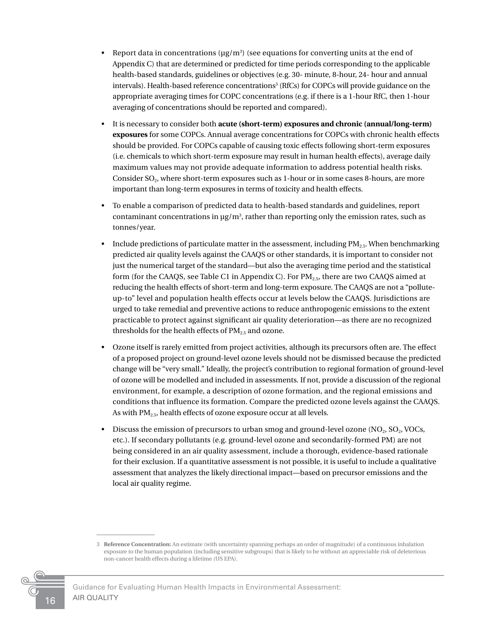- Report data in concentrations ( $\mu$ g/m<sup>3</sup>) (see equations for converting units at the end of Appendix C) that are determined or predicted for time periods corresponding to the applicable health-based standards, guidelines or objectives (e.g. 30- minute, 8-hour, 24- hour and annual intervals). Health-based reference concentrations3 (RfCs) for COPCs will provide guidance on the appropriate averaging times for COPC concentrations (e.g. if there is a 1-hour RfC, then 1-hour averaging of concentrations should be reported and compared).
- It is necessary to consider both **acute (short-term) exposures and chronic (annual/long-term) exposures** for some COPCs. Annual average concentrations for COPCs with chronic health effects should be provided. For COPCs capable of causing toxic effects following short-term exposures (i.e. chemicals to which short-term exposure may result in human health effects), average daily maximum values may not provide adequate information to address potential health risks. Consider SO<sub>2</sub>, where short-term exposures such as 1-hour or in some cases 8-hours, are more important than long-term exposures in terms of toxicity and health effects.
- To enable a comparison of predicted data to health-based standards and guidelines, report contaminant concentrations in  $\mu$ g/m<sup>3</sup>, rather than reporting only the emission rates, such as tonnes/year.
- Include predictions of particulate matter in the assessment, including  $PM_{2.5}$ . When benchmarking predicted air quality levels against the CAAQS or other standards, it is important to consider not just the numerical target of the standard—but also the averaging time period and the statistical form (for the CAAQS, see Table C1 in Appendix C). For  $PM_{2.5}$ , there are two CAAQS aimed at reducing the health effects of short-term and long-term exposure. The CAAQS are not a "polluteup-to" level and population health effects occur at levels below the CAAQS. Jurisdictions are urged to take remedial and preventive actions to reduce anthropogenic emissions to the extent practicable to protect against significant air quality deterioration—as there are no recognized thresholds for the health effects of  $PM_{2.5}$  and ozone.
- Ozone itself is rarely emitted from project activities, although its precursors often are. The effect of a proposed project on ground-level ozone levels should not be dismissed because the predicted change will be "very small." Ideally, the project's contribution to regional formation of ground-level of ozone will be modelled and included in assessments. If not, provide a discussion of the regional environment, for example, a description of ozone formation, and the regional emissions and conditions that influence its formation. Compare the predicted ozone levels against the CAAQS. As with  $PM<sub>2.5</sub>$ , health effects of ozone exposure occur at all levels.
- Discuss the emission of precursors to urban smog and ground-level ozone  $(NO<sub>2</sub>, SO<sub>2</sub>, VOCs,$ etc.). If secondary pollutants (e.g. ground-level ozone and secondarily-formed PM) are not being considered in an air quality assessment, include a thorough, evidence-based rationale for their exclusion. If a quantitative assessment is not possible, it is useful to include a qualitative assessment that analyzes the likely directional impact—based on precursor emissions and the local air quality regime.

<sup>3</sup> **Reference Concentration:** An estimate (with uncertainty spanning perhaps an order of magnitude) of a continuous inhalation exposure to the human population (including sensitive subgroups) that is likely to be without an appreciable risk of deleterious non-cancer health effects during a lifetime (US EPA).



Guidance for Evaluating Human Health Impacts in Environmental Assessment: AIR QUALITY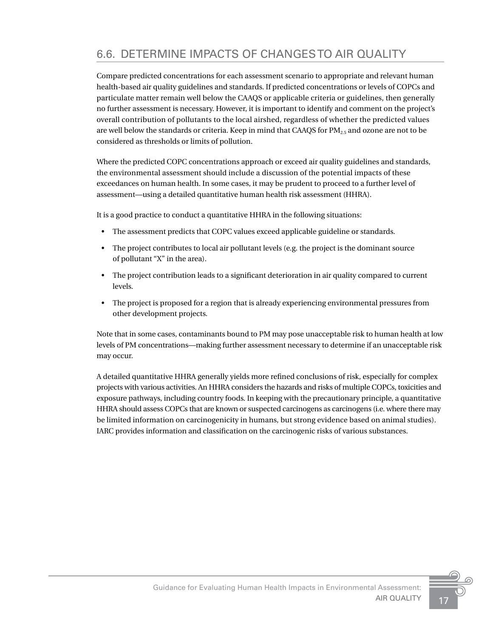# <span id="page-20-0"></span>6.6. DETERMINE IMPACTS OF CHANGES TO AIR QUALITY

Compare predicted concentrations for each assessment scenario to appropriate and relevant human health-based air quality guidelines and standards. If predicted concentrations or levels of COPCs and particulate matter remain well below the CAAQS or applicable criteria or guidelines, then generally no further assessment is necessary. However, it is important to identify and comment on the project's overall contribution of pollutants to the local airshed, regardless of whether the predicted values are well below the standards or criteria. Keep in mind that CAAQS for  $PM_{25}$  and ozone are not to be considered as thresholds or limits of pollution.

Where the predicted COPC concentrations approach or exceed air quality guidelines and standards, the environmental assessment should include a discussion of the potential impacts of these exceedances on human health. In some cases, it may be prudent to proceed to a further level of assessment—using a detailed quantitative human health risk assessment (HHRA).

It is a good practice to conduct a quantitative HHRA in the following situations:

- The assessment predicts that COPC values exceed applicable guideline or standards.
- The project contributes to local air pollutant levels (e.g. the project is the dominant source of pollutant "X" in the area).
- The project contribution leads to a significant deterioration in air quality compared to current levels.
- The project is proposed for a region that is already experiencing environmental pressures from other development projects.

Note that in some cases, contaminants bound to PM may pose unacceptable risk to human health at low levels of PM concentrations—making further assessment necessary to determine if an unacceptable risk may occur.

A detailed quantitative HHRA generally yields more refined conclusions of risk, especially for complex projects with various activities. An HHRA considers the hazards and risks of multiple COPCs, toxicities and exposure pathways, including country foods. In keeping with the precautionary principle, a quantitative HHRA should assess COPCs that are known or suspected carcinogens as carcinogens (i.e. where there may be limited information on carcinogenicity in humans, but strong evidence based on animal studies). IARC provides information and classification on the carcinogenic risks of various substances.

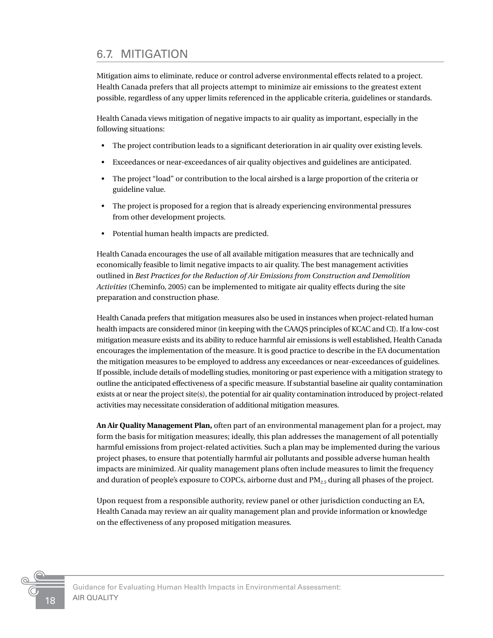### <span id="page-21-0"></span>6.7. MITIGATION

Mitigation aims to eliminate, reduce or control adverse environmental effects related to a project. Health Canada prefers that all projects attempt to minimize air emissions to the greatest extent possible, regardless of any upper limits referenced in the applicable criteria, guidelines or standards.

Health Canada views mitigation of negative impacts to air quality as important, especially in the following situations:

- The project contribution leads to a significant deterioration in air quality over existing levels.
- Exceedances or near-exceedances of air quality objectives and guidelines are anticipated.
- The project "load" or contribution to the local airshed is a large proportion of the criteria or guideline value.
- The project is proposed for a region that is already experiencing environmental pressures from other development projects.
- Potential human health impacts are predicted.

Health Canada encourages the use of all available mitigation measures that are technically and economically feasible to limit negative impacts to air quality. The best management activities outlined in *Best Practices for the Reduction of Air Emissions from Construction and Demolition Activities* (Cheminfo, 2005) can be implemented to mitigate air quality effects during the site preparation and construction phase.

Health Canada prefers that mitigation measures also be used in instances when project-related human health impacts are considered minor (in keeping with the CAAQS principles of KCAC and CI). If a low-cost mitigation measure exists and its ability to reduce harmful air emissions is well established, Health Canada encourages the implementation of the measure. It is good practice to describe in the EA documentation the mitigation measures to be employed to address any exceedances or near-exceedances of guidelines. If possible, include details of modelling studies, monitoring or past experience with a mitigation strategy to outline the anticipated effectiveness of a specific measure. If substantial baseline air quality contamination exists at or near the project site(s), the potential for air quality contamination introduced by project-related activities may necessitate consideration of additional mitigation measures.

**An Air Quality Management Plan,** often part of an environmental management plan for a project, may form the basis for mitigation measures; ideally, this plan addresses the management of all potentially harmful emissions from project-related activities. Such a plan may be implemented during the various project phases, to ensure that potentially harmful air pollutants and possible adverse human health impacts are minimized. Air quality management plans often include measures to limit the frequency and duration of people's exposure to COPCs, airborne dust and  $PM_{25}$  during all phases of the project.

Upon request from a responsible authority, review panel or other jurisdiction conducting an EA, Health Canada may review an air quality management plan and provide information or knowledge on the effectiveness of any proposed mitigation measures.



Guidance for Evaluating Human Health Impacts in Environmental Assessment: AIR QUALITY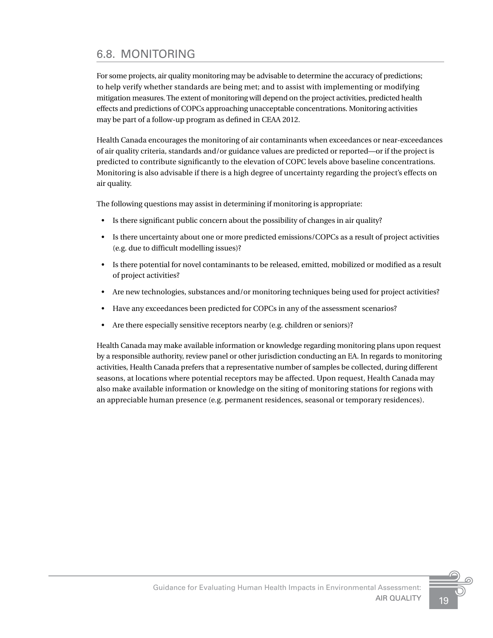# <span id="page-22-0"></span>6.8. MONITORING

For some projects, air quality monitoring may be advisable to determine the accuracy of predictions; to help verify whether standards are being met; and to assist with implementing or modifying mitigation measures. The extent of monitoring will depend on the project activities, predicted health effects and predictions of COPCs approaching unacceptable concentrations. Monitoring activities may be part of a follow-up program as defined in CEAA 2012.

Health Canada encourages the monitoring of air contaminants when exceedances or near-exceedances of air quality criteria, standards and/or guidance values are predicted or reported—or if the project is predicted to contribute significantly to the elevation of COPC levels above baseline concentrations. Monitoring is also advisable if there is a high degree of uncertainty regarding the project's effects on air quality.

The following questions may assist in determining if monitoring is appropriate:

- Is there significant public concern about the possibility of changes in air quality?
- Is there uncertainty about one or more predicted emissions/COPCs as a result of project activities (e.g. due to difficult modelling issues)?
- Is there potential for novel contaminants to be released, emitted, mobilized or modified as a result of project activities?
- Are new technologies, substances and/or monitoring techniques being used for project activities?
- Have any exceedances been predicted for COPCs in any of the assessment scenarios?
- Are there especially sensitive receptors nearby (e.g. children or seniors)?

Health Canada may make available information or knowledge regarding monitoring plans upon request by a responsible authority, review panel or other jurisdiction conducting an EA. In regards to monitoring activities, Health Canada prefers that a representative number of samples be collected, during different seasons, at locations where potential receptors may be affected. Upon request, Health Canada may also make available information or knowledge on the siting of monitoring stations for regions with an appreciable human presence (e.g. permanent residences, seasonal or temporary residences).

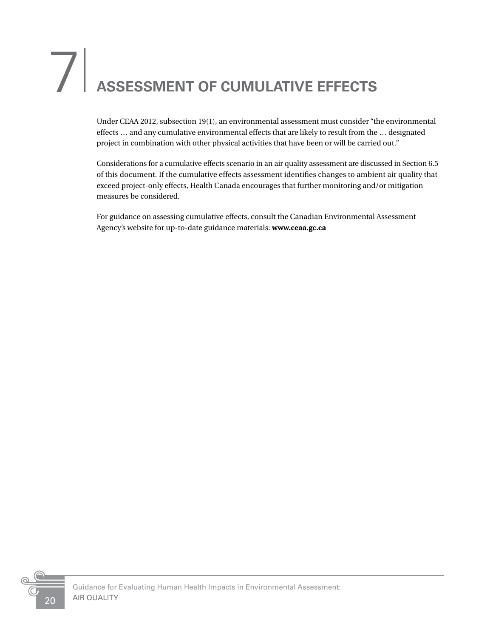# <span id="page-23-0"></span>7<sup>|</sup> **ASSESSMENT OF CUMULATIVE EFFECTS**

Under CEAA 2012, subsection 19(1), an environmental assessment must consider "the environmental effects … and any cumulative environmental effects that are likely to result from the … designated project in combination with other physical activities that have been or will be carried out."

Considerations for a cumulative effects scenario in an air quality assessment are discussed in Section 6.5 of this document. If the cumulative effects assessment identifies changes to ambient air quality that exceed project-only effects, Health Canada encourages that further monitoring and/or mitigation measures be considered.

For guidance on assessing cumulative effects, consult the Canadian Environmental Assessment Agency's website for up-to-date guidance materials: **www.ceaa.gc.ca**

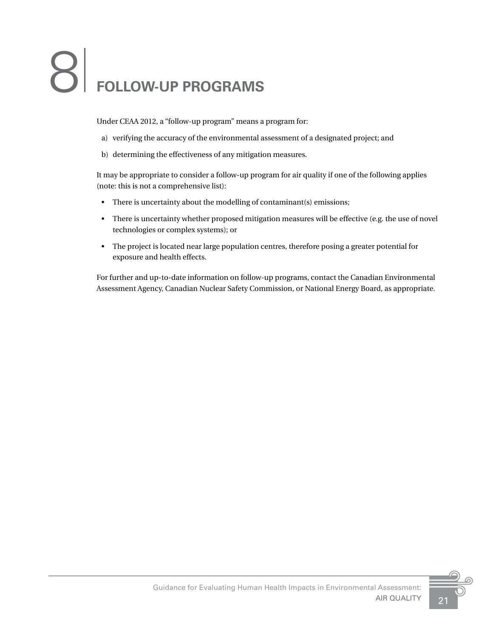# <span id="page-24-0"></span>8| **FOLLOW-UP PROGRAMS**

Under CEAA 2012, a "follow-up program" means a program for:

- a) verifying the accuracy of the environmental assessment of a designated project; and
- b) determining the effectiveness of any mitigation measures.

It may be appropriate to consider a follow-up program for air quality if one of the following applies (note: this is not a comprehensive list):

- There is uncertainty about the modelling of contaminant(s) emissions;
- There is uncertainty whether proposed mitigation measures will be effective (e.g. the use of novel technologies or complex systems); or
- The project is located near large population centres, therefore posing a greater potential for exposure and health effects.

For further and up-to-date information on follow-up programs, contact the Canadian Environmental Assessment Agency, Canadian Nuclear Safety Commission, or National Energy Board, as appropriate.

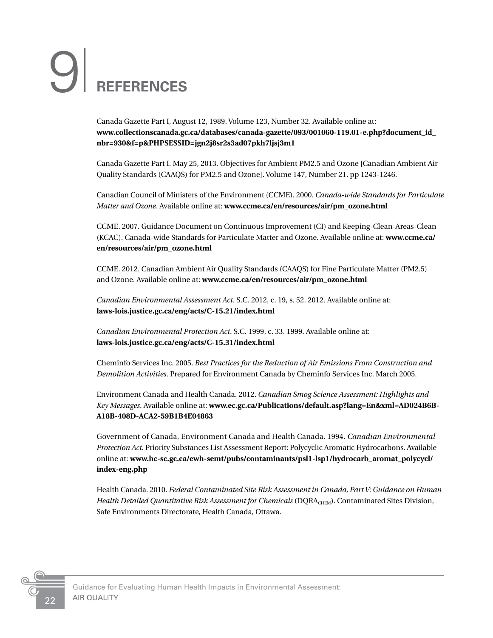# <span id="page-25-0"></span>9<sup>|</sup> **REFERENCES**

Canada Gazette Part I, August 12, 1989. Volume 123, Number 32. Available online at: **www.collectionscanada.gc.ca/databases/canada-gazette/093/001060-119.01-e.php?document\_id\_ nbr=930&f=p&PHPSESSID=jgn2j8sr2s3ad07pkh7ljsj3m1**

Canada Gazette Part I. May 25, 2013. Objectives for Ambient PM2.5 and Ozone [Canadian Ambient Air Quality Standards (CAAQS) for PM2.5 and Ozone]. Volume 147, Number 21. pp 1243-1246.

Canadian Council of Ministers of the Environment (CCME). 2000. *Canada-wide Standards for Particulate Matter and Ozone*. Available online at: **www.ccme.ca/en/resources/air/pm\_ozone.html**

CCME. 2007. Guidance Document on Continuous Improvement (CI) and Keeping-Clean-Areas-Clean (KCAC). Canada-wide Standards for Particulate Matter and Ozone. Available online at: **www.ccme.ca/ en/resources/air/pm\_ozone.html**

CCME. 2012. Canadian Ambient Air Quality Standards (CAAQS) for Fine Particulate Matter (PM2.5) and Ozone. Available online at: **www.ccme.ca/en/resources/air/pm\_ozone.html**

*Canadian Environmental Assessment Act*. S.C. 2012, c. 19, s. 52. 2012. Available online at: **laws-lois.justice.gc.ca/eng/acts/C-15.21/index.html**

*Canadian Environmental Protection Act*. S.C. 1999, c. 33. 1999. Available online at: **laws-lois.justice.gc.ca/eng/acts/C-15.31/index.html**

Cheminfo Services Inc. 2005. *Best Practices for the Reduction of Air Emissions From Construction and Demolition Activities*. Prepared for Environment Canada by Cheminfo Services Inc. March 2005.

Environment Canada and Health Canada. 2012. *Canadian Smog Science Assessment: Highlights and Key Messages*. Available online at: **www.ec.gc.ca/Publications/default.asp?lang=En&xml=AD024B6B-A18B-408D-ACA2-59B1B4E04863**

Government of Canada, Environment Canada and Health Canada. 1994. *Canadian Environmental Protection Act*. Priority Substances List Assessment Report: Polycyclic Aromatic Hydrocarbons. Available online at: **www.hc-sc.gc.ca/ewh-semt/pubs/contaminants/psl1-lsp1/hydrocarb\_aromat\_polycycl/ index-eng.php**

Health Canada. 2010. *Federal Contaminated Site Risk Assessment in Canada, Part V: Guidance on Human*  Health Detailed Quantitative Risk Assessment for Chemicals (DQRA<sub>CHEM</sub>). Contaminated Sites Division, Safe Environments Directorate, Health Canada, Ottawa.

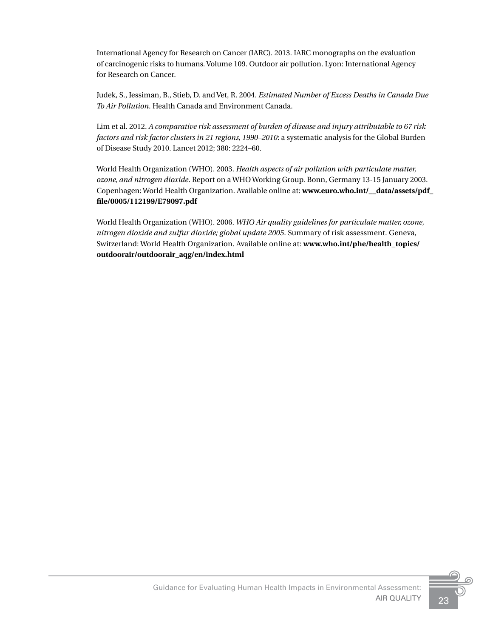International Agency for Research on Cancer (IARC). 2013. IARC monographs on the evaluation of carcinogenic risks to humans. Volume 109. Outdoor air pollution. Lyon: International Agency for Research on Cancer.

Judek, S., Jessiman, B., Stieb, D. and Vet, R. 2004. *Estimated Number of Excess Deaths in Canada Due To Air Pollution*. Health Canada and Environment Canada.

Lim et al. 2012. *A comparative risk assessment of burden of disease and injury attributable to 67 risk factors and risk factor clusters in 21 regions, 1990–2010*: a systematic analysis for the Global Burden of Disease Study 2010. Lancet 2012; 380: 2224–60.

World Health Organization (WHO). 2003. *Health aspects of air pollution with particulate matter, ozone, and nitrogen dioxide*. Report on a WHO Working Group. Bonn, Germany 13-15 January 2003. Copenhagen: World Health Organization. Available online at: **www.euro.who.int/\_\_data/assets/pdf\_ file/0005/112199/E79097.pdf**

World Health Organization (WHO). 2006. *WHO Air quality guidelines for particulate matter, ozone, nitrogen dioxide and sulfur dioxide; global update 2005*. Summary of risk assessment. Geneva, Switzerland: World Health Organization. Available online at: **www.who.int/phe/health\_topics/ outdoorair/outdoorair\_aqg/en/index.html**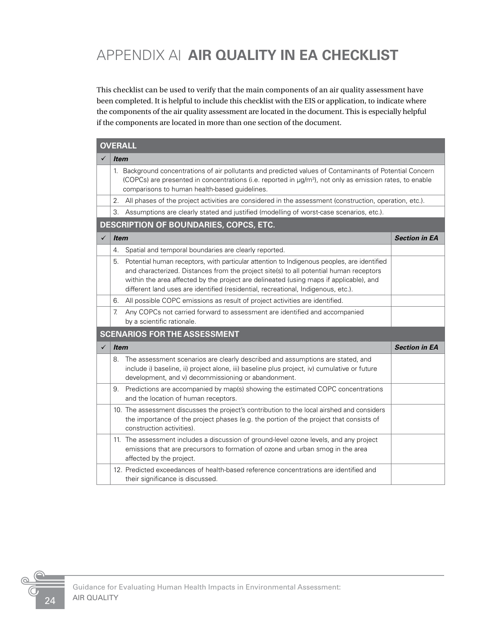# <span id="page-27-0"></span>APPENDIX A| **AIR QUALITY IN EA CHECKLIST**

This checklist can be used to verify that the main components of an air quality assessment have been completed. It is helpful to include this checklist with the EIS or application, to indicate where the components of the air quality assessment are located in the document. This is especially helpful if the components are located in more than one section of the document.

|              | <b>OVERALL</b>                                                                                                                                                                                                                                                                                                                                                            |                      |  |  |  |  |  |
|--------------|---------------------------------------------------------------------------------------------------------------------------------------------------------------------------------------------------------------------------------------------------------------------------------------------------------------------------------------------------------------------------|----------------------|--|--|--|--|--|
|              | <i><b>Item</b></i>                                                                                                                                                                                                                                                                                                                                                        |                      |  |  |  |  |  |
|              | 1. Background concentrations of air pollutants and predicted values of Contaminants of Potential Concern<br>(COPCs) are presented in concentrations (i.e. reported in µg/m <sup>3</sup> ), not only as emission rates, to enable<br>comparisons to human health-based guidelines.                                                                                         |                      |  |  |  |  |  |
|              | All phases of the project activities are considered in the assessment (construction, operation, etc.).<br>2.                                                                                                                                                                                                                                                              |                      |  |  |  |  |  |
|              | Assumptions are clearly stated and justified (modelling of worst-case scenarios, etc.).<br>З.                                                                                                                                                                                                                                                                             |                      |  |  |  |  |  |
|              | <b>DESCRIPTION OF BOUNDARIES, COPCS, ETC.</b>                                                                                                                                                                                                                                                                                                                             |                      |  |  |  |  |  |
| $\checkmark$ | <b>Item</b>                                                                                                                                                                                                                                                                                                                                                               | <b>Section in EA</b> |  |  |  |  |  |
|              | Spatial and temporal boundaries are clearly reported.<br>4.                                                                                                                                                                                                                                                                                                               |                      |  |  |  |  |  |
|              | Potential human receptors, with particular attention to Indigenous peoples, are identified<br>5.<br>and characterized. Distances from the project site(s) to all potential human receptors<br>within the area affected by the project are delineated (using maps if applicable), and<br>different land uses are identified (residential, recreational, Indigenous, etc.). |                      |  |  |  |  |  |
|              | All possible COPC emissions as result of project activities are identified.<br>6.                                                                                                                                                                                                                                                                                         |                      |  |  |  |  |  |
|              | Any COPCs not carried forward to assessment are identified and accompanied<br>7.<br>by a scientific rationale.                                                                                                                                                                                                                                                            |                      |  |  |  |  |  |
|              | <b>SCENARIOS FOR THE ASSESSMENT</b>                                                                                                                                                                                                                                                                                                                                       |                      |  |  |  |  |  |
| ✓            | <b>Item</b>                                                                                                                                                                                                                                                                                                                                                               | <b>Section in EA</b> |  |  |  |  |  |
|              | 8. The assessment scenarios are clearly described and assumptions are stated, and<br>include i) baseline, ii) project alone, iii) baseline plus project, iv) cumulative or future<br>development, and v) decommissioning or abandonment.                                                                                                                                  |                      |  |  |  |  |  |
|              | 9. Predictions are accompanied by map(s) showing the estimated COPC concentrations<br>and the location of human receptors.                                                                                                                                                                                                                                                |                      |  |  |  |  |  |
|              | 10. The assessment discusses the project's contribution to the local airshed and considers<br>the importance of the project phases (e.g. the portion of the project that consists of<br>construction activities).                                                                                                                                                         |                      |  |  |  |  |  |
|              | 11. The assessment includes a discussion of ground-level ozone levels, and any project<br>emissions that are precursors to formation of ozone and urban smog in the area<br>affected by the project.                                                                                                                                                                      |                      |  |  |  |  |  |
|              | 12. Predicted exceedances of health-based reference concentrations are identified and<br>their significance is discussed.                                                                                                                                                                                                                                                 |                      |  |  |  |  |  |

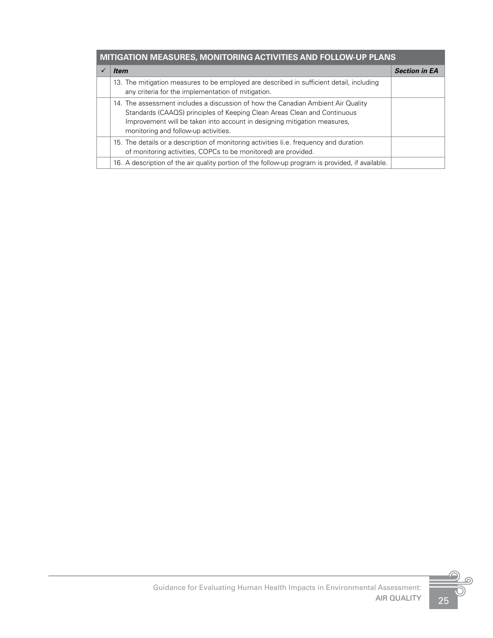| MITIGATION MEASURES, MONITORING ACTIVITIES AND FOLLOW-UP PLANS |  |
|----------------------------------------------------------------|--|
|                                                                |  |

| <i>Item</i>                                                                                                                                                                                                                                                                      | <b>Section in EA</b> |
|----------------------------------------------------------------------------------------------------------------------------------------------------------------------------------------------------------------------------------------------------------------------------------|----------------------|
| 13. The mitigation measures to be employed are described in sufficient detail, including<br>any criteria for the implementation of mitigation.                                                                                                                                   |                      |
| 14. The assessment includes a discussion of how the Canadian Ambient Air Quality<br>Standards (CAAQS) principles of Keeping Clean Areas Clean and Continuous<br>Improvement will be taken into account in designing mitigation measures,<br>monitoring and follow-up activities. |                      |
| 15. The details or a description of monitoring activities (i.e. frequency and duration<br>of monitoring activities, COPCs to be monitored) are provided.                                                                                                                         |                      |
| 16. A description of the air quality portion of the follow-up program is provided, if available.                                                                                                                                                                                 |                      |

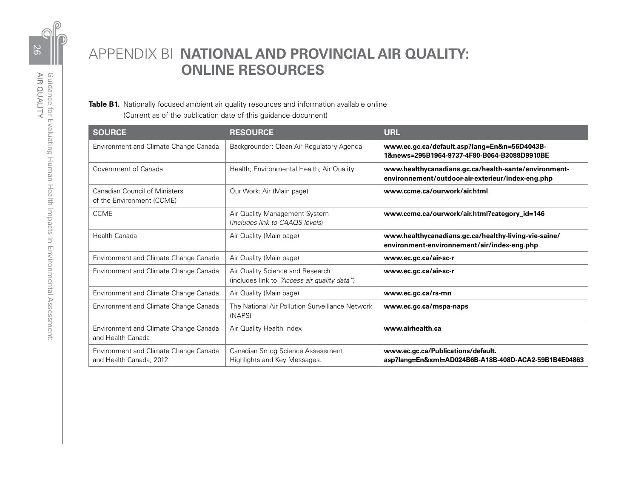<span id="page-29-0"></span>

# APPENDIX B| **NATIONAL AND PROVINCIAL AIR QUALITY: ONLINE RESOURCES**

**Table B1.** Nationally focused ambient air quality resources and information available online (Current as of the publication date of this guidance document)

| <b>SOURCE</b>                                                     | <b>RESOURCE</b>                                                                  | <b>URL</b>                                                                                                |
|-------------------------------------------------------------------|----------------------------------------------------------------------------------|-----------------------------------------------------------------------------------------------------------|
| Environment and Climate Change Canada                             | Backgrounder: Clean Air Regulatory Agenda                                        | www.ec.gc.ca/default.asp?lang=En&n=56D4043B-<br>1&news=295B1964-9737-4F80-B064-B3088D9910BE               |
| Government of Canada                                              | Health; Environmental Health; Air Quality                                        | www.healthycanadians.gc.ca/health-sante/environment-<br>environnement/outdoor-air-exterieur/index-eng.php |
| <b>Canadian Council of Ministers</b><br>of the Environment (CCME) | Our Work: Air (Main page)                                                        | www.ccme.ca/ourwork/air.html                                                                              |
| <b>CCME</b>                                                       | Air Quality Management System<br>(includes link to CAAQS levels)                 | www.ccme.ca/ourwork/air.html?category_id=146                                                              |
| <b>Health Canada</b>                                              | Air Quality (Main page)                                                          | www.healthycanadians.gc.ca/healthy-living-vie-saine/<br>environment-environnement/air/index-eng.php       |
| Environment and Climate Change Canada                             | Air Quality (Main page)                                                          | www.ec.gc.ca/air-sc-r                                                                                     |
| Environment and Climate Change Canada                             | Air Quality Science and Research<br>(includes link to "Access air quality data") | www.ec.gc.ca/air-sc-r                                                                                     |
| Environment and Climate Change Canada                             | Air Quality (Main page)                                                          | www.ec.gc.ca/rs-mn                                                                                        |
| Environment and Climate Change Canada                             | The National Air Pollution Surveillance Network<br>(NAPS)                        | www.ec.gc.ca/rnspa-naps                                                                                   |
| Environment and Climate Change Canada<br>and Health Canada        | Air Quality Health Index                                                         | www.airhealth.ca                                                                                          |
| Environment and Climate Change Canada<br>and Health Canada, 2012  | Canadian Smog Science Assessment:<br>Highlights and Key Messages.                | www.ec.gc.ca/Publications/default.<br>asp?lang=En&xml=AD024B6B-A18B-408D-ACA2-59B1B4E04863                |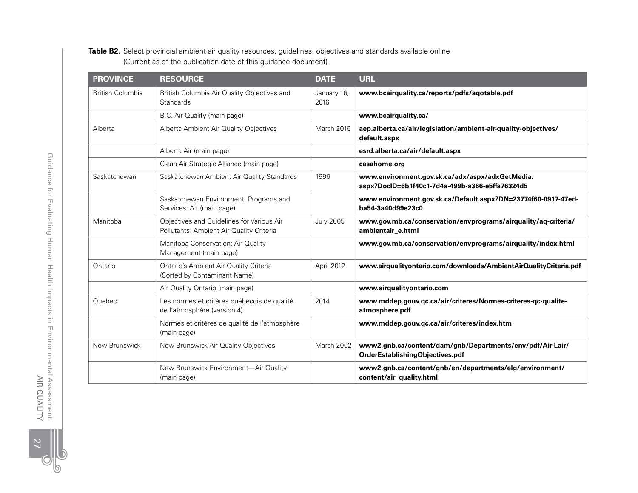#### **Table B2.** Select provincial ambient air quality resources, guidelines, objectives and standards available online (Current as of the publication date of this guidance document)

| <b>PROVINCE</b>         | <b>RESOURCE</b>                                                                       | <b>DATE</b>         | <b>URL</b>                                                                                         |
|-------------------------|---------------------------------------------------------------------------------------|---------------------|----------------------------------------------------------------------------------------------------|
| <b>British Columbia</b> | British Columbia Air Quality Objectives and<br>Standards                              | January 18,<br>2016 | www.bcairquality.ca/reports/pdfs/aqotable.pdf                                                      |
|                         | B.C. Air Quality (main page)                                                          |                     | www.bcairquality.ca/                                                                               |
| Alberta                 | Alberta Ambient Air Quality Objectives                                                | March 2016          | aep.alberta.ca/air/legislation/ambient-air-quality-objectives/<br>default.aspx                     |
|                         | Alberta Air (main page)                                                               |                     | esrd.alberta.ca/air/default.aspx                                                                   |
|                         | Clean Air Strategic Alliance (main page)                                              |                     | casahome.org                                                                                       |
| Saskatchewan            | Saskatchewan Ambient Air Quality Standards                                            | 1996                | www.environment.gov.sk.ca/adx/aspx/adxGetMedia.<br>aspx?DocID=6b1f40c1-7d4a-499b-a366-e5ffa76324d5 |
|                         | Saskatchewan Environment, Programs and<br>Services: Air (main page)                   |                     | www.environment.gov.sk.ca/Default.aspx?DN=23774f60-0917-47ed-<br>ba54-3a40d99e23c0                 |
| Manitoba                | Objectives and Guidelines for Various Air<br>Pollutants: Ambient Air Quality Criteria | <b>July 2005</b>    | www.gov.mb.ca/conservation/envprograms/airquality/aq-criteria/<br>ambientair_e.html                |
|                         | Manitoba Conservation: Air Quality<br>Management (main page)                          |                     | www.gov.mb.ca/conservation/envprograms/airquality/index.html                                       |
| Ontario                 | Ontario's Ambient Air Quality Criteria<br>(Sorted by Contaminant Name)                | April 2012          | www.airqualityontario.com/downloads/AmbientAirQualityCriteria.pdf                                  |
|                         | Air Quality Ontario (main page)                                                       |                     | www.airqualityontario.com                                                                          |
| Quebec                  | Les normes et critères québécois de qualité<br>de l'atmosphère (version 4)            | 2014                | www.mddep.gouv.qc.ca/air/criteres/Normes-criteres-qc-qualite-<br>atmosphere.pdf                    |
|                         | Normes et critères de qualité de l'atmosphère<br>(main page)                          |                     | www.mddep.gouv.qc.ca/air/criteres/index.htm                                                        |
| New Brunswick           | New Brunswick Air Quality Objectives                                                  | March 2002          | www2.gnb.ca/content/dam/gnb/Departments/env/pdf/Air-Lair/<br>OrderEstablishingObjectives.pdf       |
|                         | New Brunswick Environment-Air Quality<br>(main page)                                  |                     | www2.gnb.ca/content/gnb/en/departments/elg/environment/<br>content/air_quality.html                |

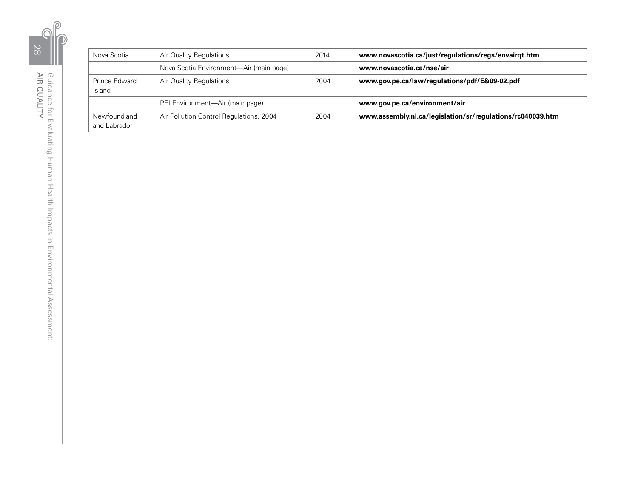| Nova Scotia                  | Air Quality Regulations                 | 2014 | www.novascotia.ca/just/regulations/regs/envairqt.htm       |
|------------------------------|-----------------------------------------|------|------------------------------------------------------------|
|                              | Nova Scotia Environment—Air (main page) |      | www.novascotia.ca/nse/air                                  |
| Prince Edward<br>Island      | Air Quality Regulations                 | 2004 | www.gov.pe.ca/law/regulations/pdf/E&09-02.pdf              |
|                              | PEI Environment—Air (main page)         |      | www.gov.pe.ca/environment/air                              |
| Newfoundland<br>and Labrador | Air Pollution Control Regulations, 2004 | 2004 | www.assembly.nl.ca/legislation/sr/regulations/rc040039.htm |

28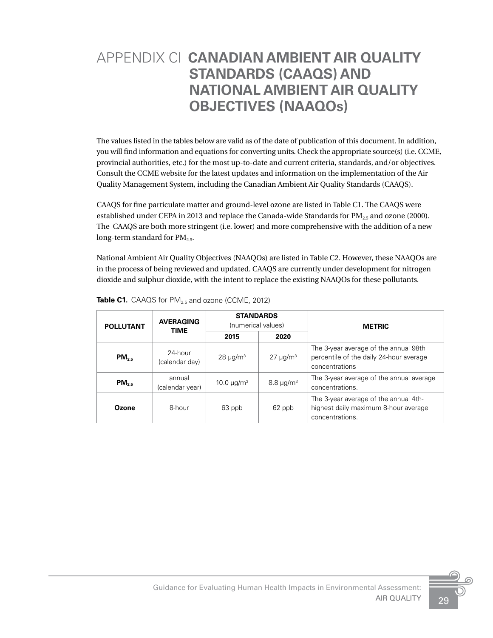# <span id="page-32-0"></span>APPENDIX C| **CANADIAN AMBIENT AIR QUALITY STANDARDS (CAAQS) AND NATIONAL AMBIENT AIR QUALITY OBJECTIVES (NAAQOs)**

The values listed in the tables below are valid as of the date of publication of this document. In addition, you will find information and equations for converting units. Check the appropriate source(s) (i.e. CCME, provincial authorities, etc.) for the most up-to-date and current criteria, standards, and/or objectives. Consult the CCME website for the latest updates and information on the implementation of the Air Quality Management System, including the Canadian Ambient Air Quality Standards (CAAQS).

CAAQS for fine particulate matter and ground-level ozone are listed in Table C1. The CAAQS were established under CEPA in 2013 and replace the Canada-wide Standards for  $PM_{2.5}$  and ozone (2000). The CAAQS are both more stringent (i.e. lower) and more comprehensive with the addition of a new long-term standard for  $PM_{2.5}$ .

National Ambient Air Quality Objectives (NAAQOs) are listed in Table C2. However, these NAAQOs are in the process of being reviewed and updated. CAAQS are currently under development for nitrogen dioxide and sulphur dioxide, with the intent to replace the existing NAAQOs for these pollutants.

| <b>POLLUTANT</b> | <b>AVERAGING</b><br><b>TIME</b> | <b>STANDARDS</b><br>(numerical values) |                   | <b>METRIC</b>                                                                                      |  |
|------------------|---------------------------------|----------------------------------------|-------------------|----------------------------------------------------------------------------------------------------|--|
|                  |                                 | 2015                                   | 2020              |                                                                                                    |  |
| $PM_{25}$        | 24-hour<br>(calendar day)       | $28 \mu g/m3$                          | $27 \mu g/m^3$    | The 3-year average of the annual 98th<br>percentile of the daily 24-hour average<br>concentrations |  |
| $PM_{25}$        | annual<br>(calendar year)       | 10.0 $\mu$ g/m <sup>3</sup>            | $8.8 \,\mu g/m^3$ | The 3-year average of the annual average<br>concentrations.                                        |  |
| Ozone            | 8-hour                          | 63 ppb                                 | 62 ppb            | The 3-year average of the annual 4th-<br>highest daily maximum 8-hour average<br>concentrations.   |  |

Table C1. CAAQS for PM<sub>2.5</sub> and ozone (CCME, 2012)